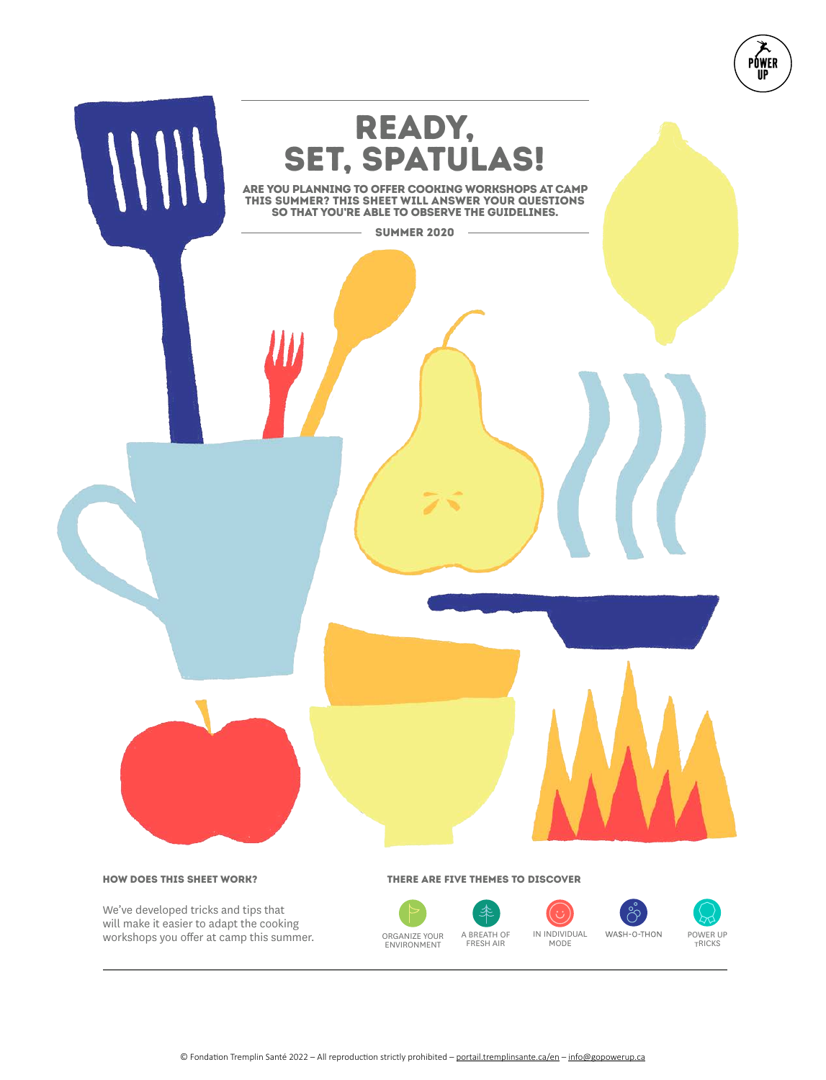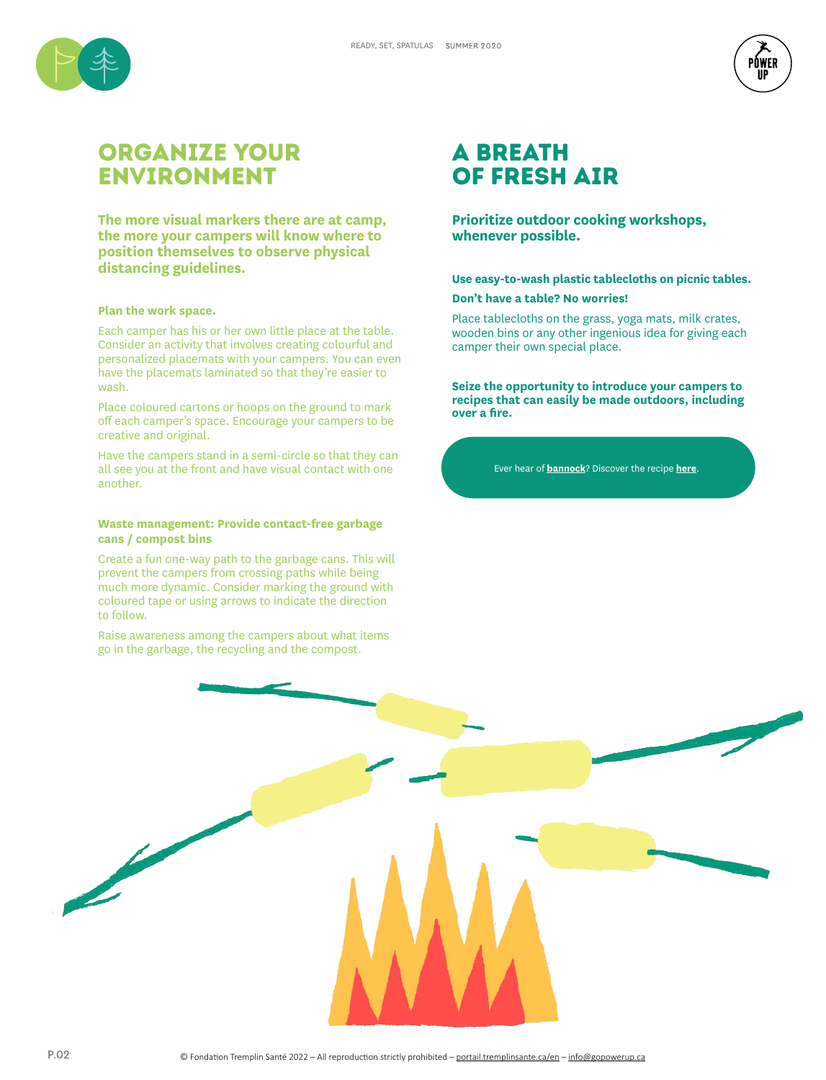



# Organize your environment

**The more visual markers there are at camp, the more your campers will know where to position themselves to observe physical distancing guidelines.**

## **Plan the work space.**

Each camper has his or her own little place at the table. Consider an activity that involves creating colourful and personalized placemats with your campers. You can even have the placemats laminated so that they're easier to wash.

Place coloured cartons or hoops on the ground to mark off each camper's space. Encourage your campers to be creative and original.

Have the campers stand in a semi-circle so that they can all see you at the front and have visual contact with one another.

## **Waste management: Provide contact-free garbage cans / compost bins**

Create a fun one-way path to the garbage cans. This will prevent the campers from crossing paths while being much more dynamic. Consider marking the ground with coloured tape or using arrows to indicate the direction to follow.

Raise awareness among the campers about what items go in the garbage, the recycling and the compost.

## a breath of fresh air

**Prioritize outdoor cooking workshops, whenever possible.**

## **Use easy-to-wash plastic tablecloths on picnic tables.**

## **Don't have a table? No worries!**

Place tablecloths on the grass, yoga mats, milk crates, wooden bins or any other ingenious idea for giving each camper their own special place.

**Seize the opportunity to introduce your campers to recipes that can easily be made outdoors, including over a fire.** 

Ever hear of **bannock**? Discover the recipe **here**.

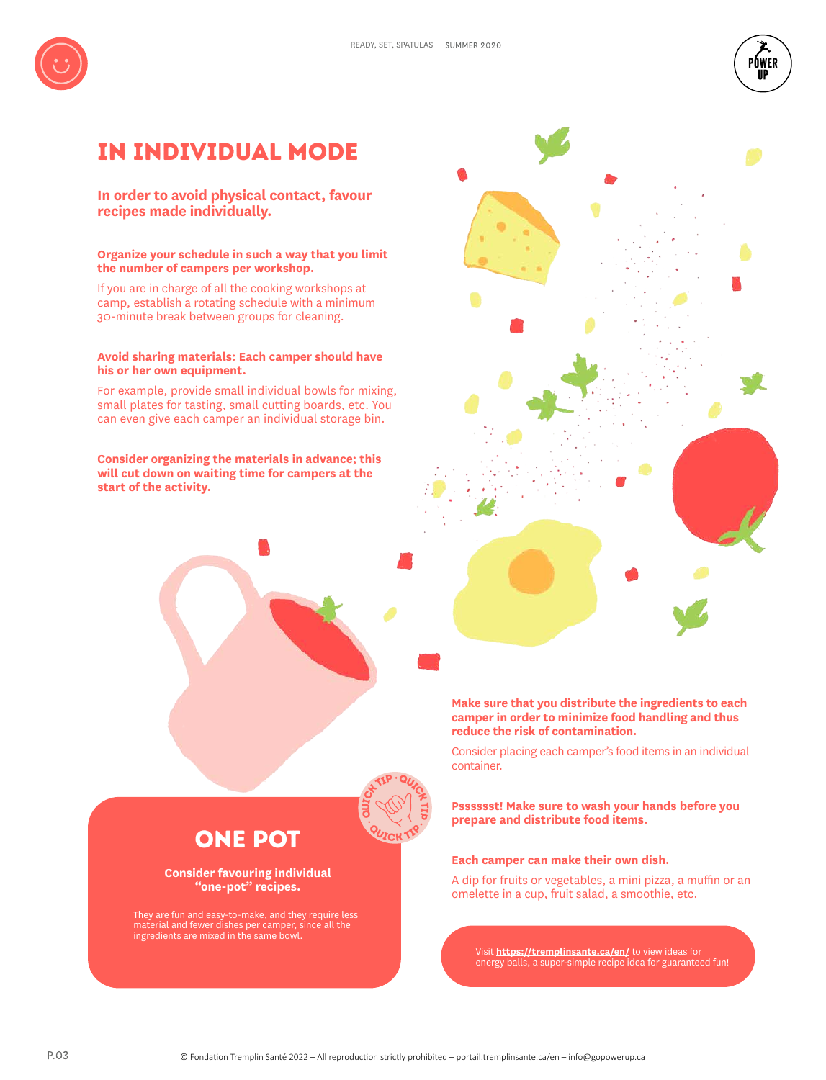



## In individual mode

**In order to avoid physical contact, favour recipes made individually.**

## **Organize your schedule in such a way that you limit the number of campers per workshop.**

If you are in charge of all the cooking workshops at camp, establish a rotating schedule with a minimum 30-minute break between groups for cleaning.

## **Avoid sharing materials: Each camper should have his or her own equipment.**

For example, provide small individual bowls for mixing, small plates for tasting, small cutting boards, etc. You can even give each camper an individual storage bin.

**Consider organizing the materials in advance; this will cut down on waiting time for campers at the start of the activity.**



Consider placing each camper's food items in an individual container.

**Psssssst! Make sure to wash your hands before you prepare and distribute food items.**

## **Each camper can make their own dish.**

A dip for fruits or vegetables, a mini pizza, a muffin or an omelette in a cup, fruit salad, a smoothie, etc.

Visit **https://tremplinsante.ca/en/** to view ideas for energy balls, a super-simple recipe idea for guaranteed fun!

**ON TIP QUICK TIP** 

## ONE POT

## **Consider favouring individual "one-pot" recipes.**

They are fun and easy-to-make, and they require less material and fewer dishes per camper, since all the ingredients are mixed in the same bowl.

autoz TIP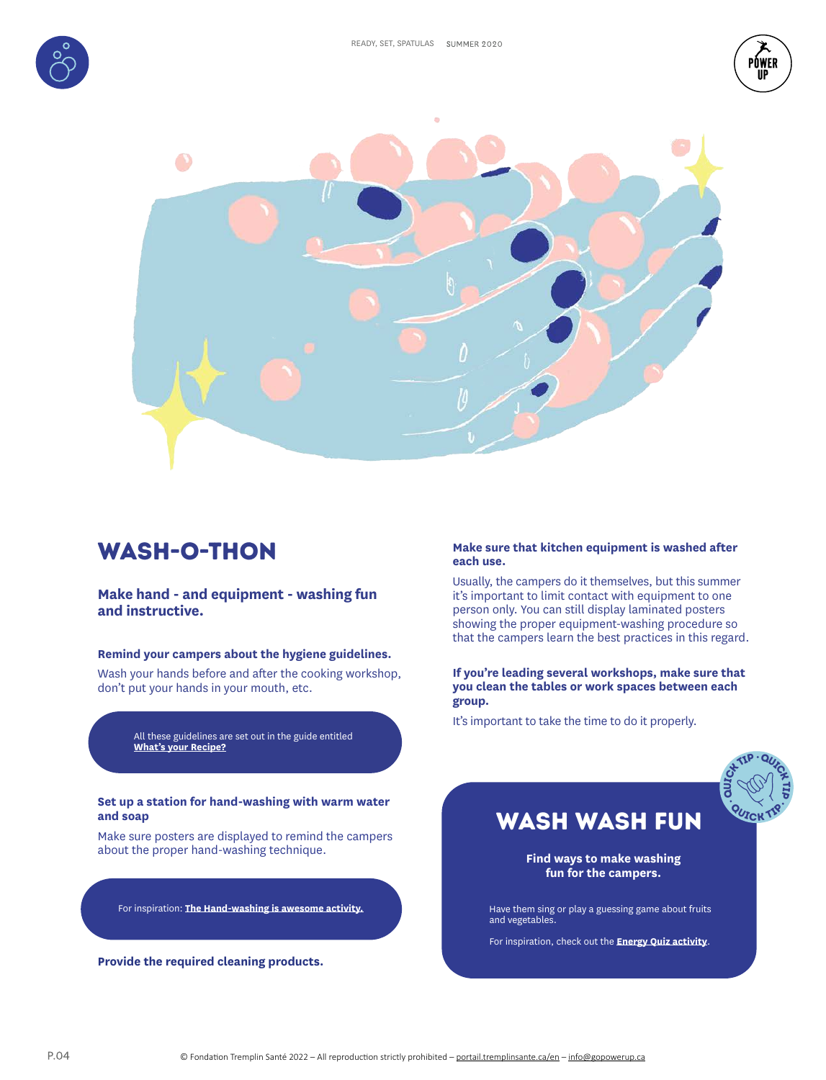





# wash-o-THON

## **Make hand - and equipment - washing fun and instructive.**

## **Remind your campers about the hygiene guidelines.**

Wash your hands before and after the cooking workshop, don't put your hands in your mouth, etc.

> All these guidelines are set out in the guide entitled **What's your Recipe?**

### **Set up a station for hand-washing with warm water and soap**

Make sure posters are displayed to remind the campers about the proper hand-washing technique.

For inspiration: **The Hand-washing is awesome activity.**

**Provide the required cleaning products.**

## **Make sure that kitchen equipment is washed after each use.**

Usually, the campers do it themselves, but this summer it's important to limit contact with equipment to one person only. You can still display laminated posters showing the proper equipment-washing procedure so that the campers learn the best practices in this regard.

**If you're leading several workshops, make sure that you clean the tables or work spaces between each group.** 

It's important to take the time to do it properly.



## WASH WASH FUN

**Find ways to make washing fun for the campers.** 

Have them sing or play a guessing game about fruits and vegetables.

For inspiration, check out the **Energy Quiz activity**.